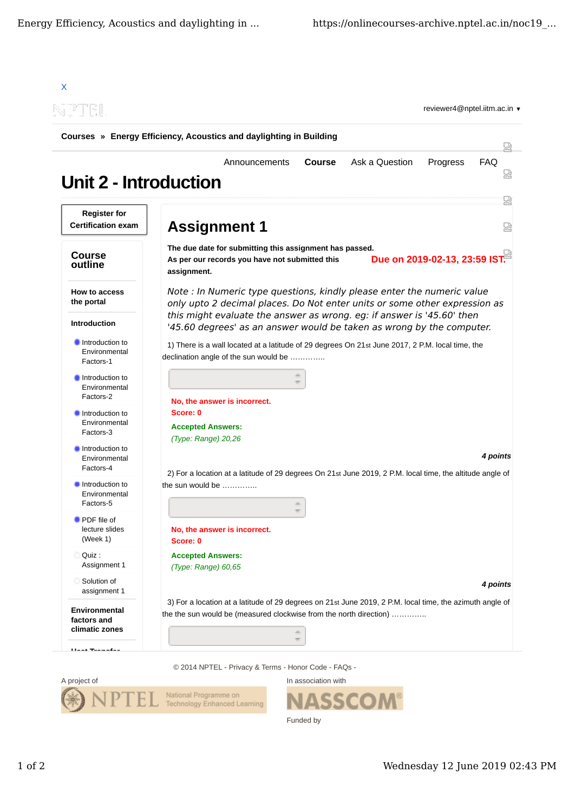



Funded by